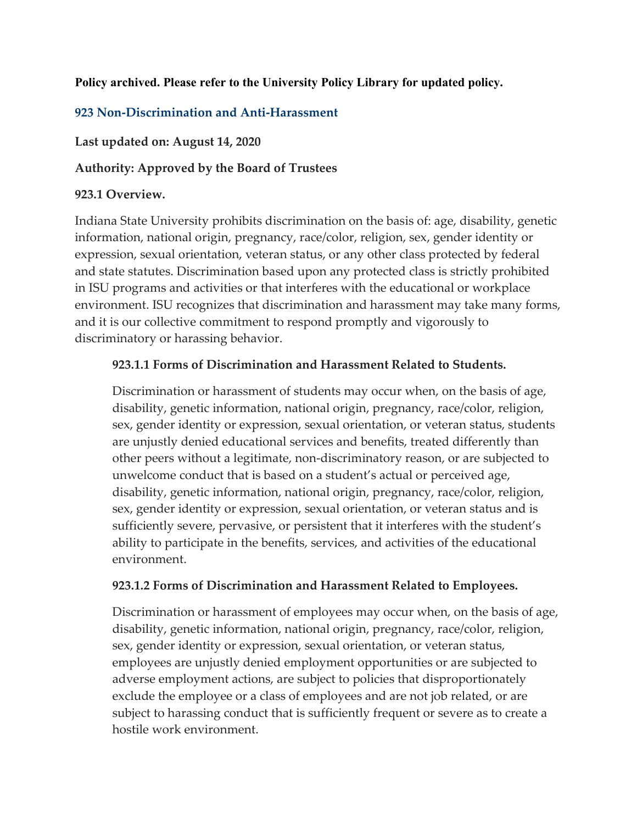### **Policy archived. Please refer to the University Policy Library for updated policy.**

# **923 Non-Discrimination and Anti-Harassment**

**Last updated on: August 14, 2020**

**Authority: Approved by the Board of Trustees**

### **923.1 Overview.**

Indiana State University prohibits discrimination on the basis of: age, disability, genetic information, national origin, pregnancy, race/color, religion, sex, gender identity or expression, sexual orientation, veteran status, or any other class protected by federal and state statutes. Discrimination based upon any protected class is strictly prohibited in ISU programs and activities or that interferes with the educational or workplace environment. ISU recognizes that discrimination and harassment may take many forms, and it is our collective commitment to respond promptly and vigorously to discriminatory or harassing behavior.

## **923.1.1 Forms of Discrimination and Harassment Related to Students.**

Discrimination or harassment of students may occur when, on the basis of age, disability, genetic information, national origin, pregnancy, race/color, religion, sex, gender identity or expression, sexual orientation, or veteran status, students are unjustly denied educational services and benefits, treated differently than other peers without a legitimate, non-discriminatory reason, or are subjected to unwelcome conduct that is based on a student's actual or perceived age, disability, genetic information, national origin, pregnancy, race/color, religion, sex, gender identity or expression, sexual orientation, or veteran status and is sufficiently severe, pervasive, or persistent that it interferes with the student's ability to participate in the benefits, services, and activities of the educational environment.

### **923.1.2 Forms of Discrimination and Harassment Related to Employees.**

Discrimination or harassment of employees may occur when, on the basis of age, disability, genetic information, national origin, pregnancy, race/color, religion, sex, gender identity or expression, sexual orientation, or veteran status, employees are unjustly denied employment opportunities or are subjected to adverse employment actions, are subject to policies that disproportionately exclude the employee or a class of employees and are not job related, or are subject to harassing conduct that is sufficiently frequent or severe as to create a hostile work environment.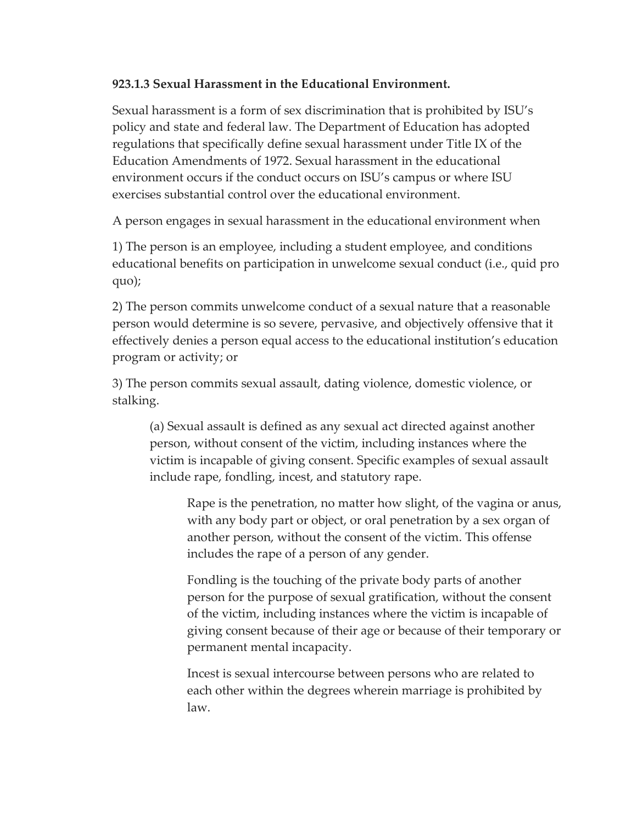### **923.1.3 Sexual Harassment in the Educational Environment.**

Sexual harassment is a form of sex discrimination that is prohibited by ISU's policy and state and federal law. The Department of Education has adopted regulations that specifically define sexual harassment under Title IX of the Education Amendments of 1972. Sexual harassment in the educational environment occurs if the conduct occurs on ISU's campus or where ISU exercises substantial control over the educational environment.

A person engages in sexual harassment in the educational environment when

1) The person is an employee, including a student employee, and conditions educational benefits on participation in unwelcome sexual conduct (i.e., quid pro quo);

2) The person commits unwelcome conduct of a sexual nature that a reasonable person would determine is so severe, pervasive, and objectively offensive that it effectively denies a person equal access to the educational institution's education program or activity; or

3) The person commits sexual assault, dating violence, domestic violence, or stalking.

(a) Sexual assault is defined as any sexual act directed against another person, without consent of the victim, including instances where the victim is incapable of giving consent. Specific examples of sexual assault include rape, fondling, incest, and statutory rape.

Rape is the penetration, no matter how slight, of the vagina or anus, with any body part or object, or oral penetration by a sex organ of another person, without the consent of the victim. This offense includes the rape of a person of any gender.

Fondling is the touching of the private body parts of another person for the purpose of sexual gratification, without the consent of the victim, including instances where the victim is incapable of giving consent because of their age or because of their temporary or permanent mental incapacity.

Incest is sexual intercourse between persons who are related to each other within the degrees wherein marriage is prohibited by law.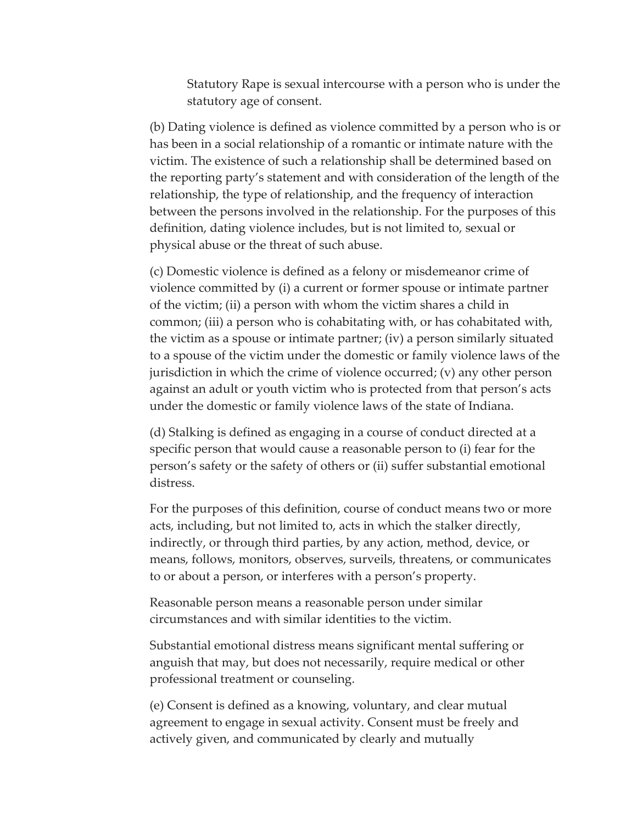Statutory Rape is sexual intercourse with a person who is under the statutory age of consent.

(b) Dating violence is defined as violence committed by a person who is or has been in a social relationship of a romantic or intimate nature with the victim. The existence of such a relationship shall be determined based on the reporting party's statement and with consideration of the length of the relationship, the type of relationship, and the frequency of interaction between the persons involved in the relationship. For the purposes of this definition, dating violence includes, but is not limited to, sexual or physical abuse or the threat of such abuse.

(c) Domestic violence is defined as a felony or misdemeanor crime of violence committed by (i) a current or former spouse or intimate partner of the victim; (ii) a person with whom the victim shares a child in common; (iii) a person who is cohabitating with, or has cohabitated with, the victim as a spouse or intimate partner; (iv) a person similarly situated to a spouse of the victim under the domestic or family violence laws of the jurisdiction in which the crime of violence occurred; (v) any other person against an adult or youth victim who is protected from that person's acts under the domestic or family violence laws of the state of Indiana.

(d) Stalking is defined as engaging in a course of conduct directed at a specific person that would cause a reasonable person to (i) fear for the person's safety or the safety of others or (ii) suffer substantial emotional distress.

For the purposes of this definition, course of conduct means two or more acts, including, but not limited to, acts in which the stalker directly, indirectly, or through third parties, by any action, method, device, or means, follows, monitors, observes, surveils, threatens, or communicates to or about a person, or interferes with a person's property.

Reasonable person means a reasonable person under similar circumstances and with similar identities to the victim.

Substantial emotional distress means significant mental suffering or anguish that may, but does not necessarily, require medical or other professional treatment or counseling.

(e) Consent is defined as a knowing, voluntary, and clear mutual agreement to engage in sexual activity. Consent must be freely and actively given, and communicated by clearly and mutually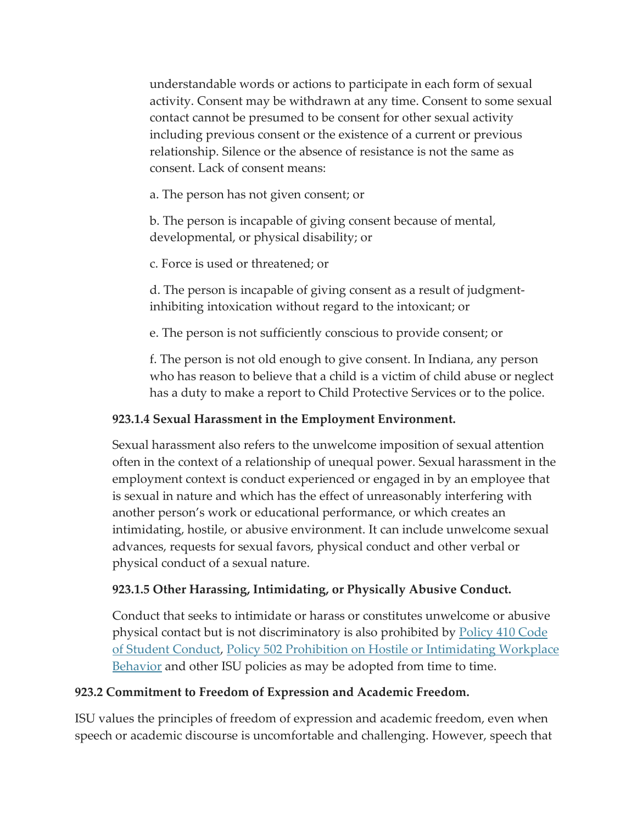understandable words or actions to participate in each form of sexual activity. Consent may be withdrawn at any time. Consent to some sexual contact cannot be presumed to be consent for other sexual activity including previous consent or the existence of a current or previous relationship. Silence or the absence of resistance is not the same as consent. Lack of consent means:

a. The person has not given consent; or

b. The person is incapable of giving consent because of mental, developmental, or physical disability; or

c. Force is used or threatened; or

d. The person is incapable of giving consent as a result of judgmentinhibiting intoxication without regard to the intoxicant; or

e. The person is not sufficiently conscious to provide consent; or

f. The person is not old enough to give consent. In Indiana, any person who has reason to believe that a child is a victim of child abuse or neglect has a duty to make a report to Child Protective Services or to the police.

## **923.1.4 Sexual Harassment in the Employment Environment.**

Sexual harassment also refers to the unwelcome imposition of sexual attention often in the context of a relationship of unequal power. Sexual harassment in the employment context is conduct experienced or engaged in by an employee that is sexual in nature and which has the effect of unreasonably interfering with another person's work or educational performance, or which creates an intimidating, hostile, or abusive environment. It can include unwelcome sexual advances, requests for sexual favors, physical conduct and other verbal or physical conduct of a sexual nature.

## **923.1.5 Other Harassing, Intimidating, or Physically Abusive Conduct.**

Conduct that seeks to intimidate or harass or constitutes unwelcome or abusive physical contact but is not discriminatory is also prohibited by [Policy 410 Code](https://web.archive.org/web/20210418035216/https:/www.indstate.edu/policy-library/code-student-conduct)  [of Student Conduct,](https://web.archive.org/web/20210418035216/https:/www.indstate.edu/policy-library/code-student-conduct) [Policy 502 Prohibition on Hostile or Intimidating Workplace](https://web.archive.org/web/20210418035216/https:/www.indstate.edu/policy-library/prohibition-hostile-or-intimidating-workplace-behavior)  [Behavior](https://web.archive.org/web/20210418035216/https:/www.indstate.edu/policy-library/prohibition-hostile-or-intimidating-workplace-behavior) and other ISU policies as may be adopted from time to time.

## **923.2 Commitment to Freedom of Expression and Academic Freedom.**

ISU values the principles of freedom of expression and academic freedom, even when speech or academic discourse is uncomfortable and challenging. However, speech that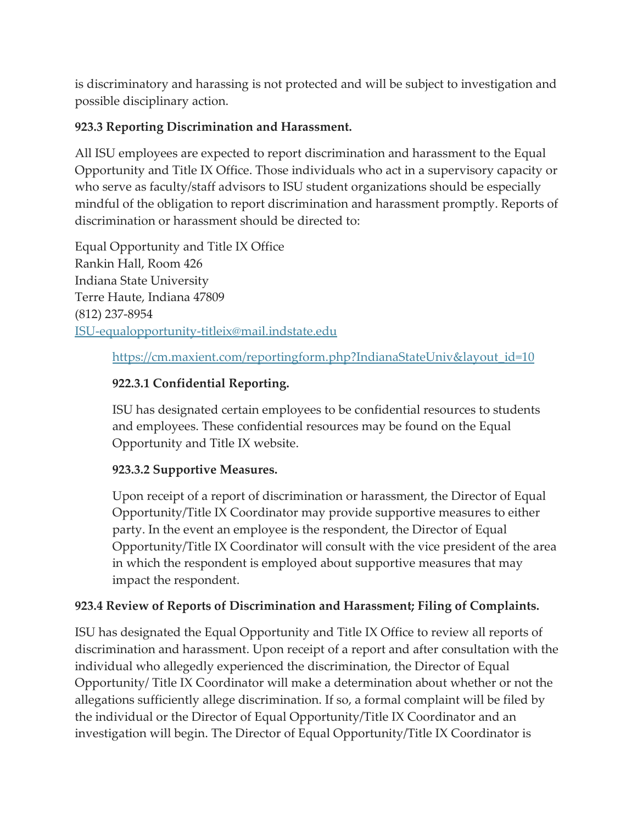is discriminatory and harassing is not protected and will be subject to investigation and possible disciplinary action.

# **923.3 Reporting Discrimination and Harassment.**

All ISU employees are expected to report discrimination and harassment to the Equal Opportunity and Title IX Office. Those individuals who act in a supervisory capacity or who serve as faculty/staff advisors to ISU student organizations should be especially mindful of the obligation to report discrimination and harassment promptly. Reports of discrimination or harassment should be directed to:

Equal Opportunity and Title IX Office Rankin Hall, Room 426 Indiana State University Terre Haute, Indiana 47809 (812) 237-8954 [ISU-equalopportunity-titleix@mail.indstate.edu](https://web.archive.org/web/20210418035216/http:/indstate.edu/)

[https://cm.maxient.com/reportingform.php?IndianaStateUniv&layout\\_id=10](https://web.archive.org/web/20210418035216/https:/cm.maxient.com/reportingform.php?IndianaStateUniv&layout_id=10)

# **922.3.1 Confidential Reporting.**

ISU has designated certain employees to be confidential resources to students and employees. These confidential resources may be found on the Equal Opportunity and Title IX website.

# **923.3.2 Supportive Measures.**

Upon receipt of a report of discrimination or harassment, the Director of Equal Opportunity/Title IX Coordinator may provide supportive measures to either party. In the event an employee is the respondent, the Director of Equal Opportunity/Title IX Coordinator will consult with the vice president of the area in which the respondent is employed about supportive measures that may impact the respondent.

# **923.4 Review of Reports of Discrimination and Harassment; Filing of Complaints.**

ISU has designated the Equal Opportunity and Title IX Office to review all reports of discrimination and harassment. Upon receipt of a report and after consultation with the individual who allegedly experienced the discrimination, the Director of Equal Opportunity/ Title IX Coordinator will make a determination about whether or not the allegations sufficiently allege discrimination. If so, a formal complaint will be filed by the individual or the Director of Equal Opportunity/Title IX Coordinator and an investigation will begin. The Director of Equal Opportunity/Title IX Coordinator is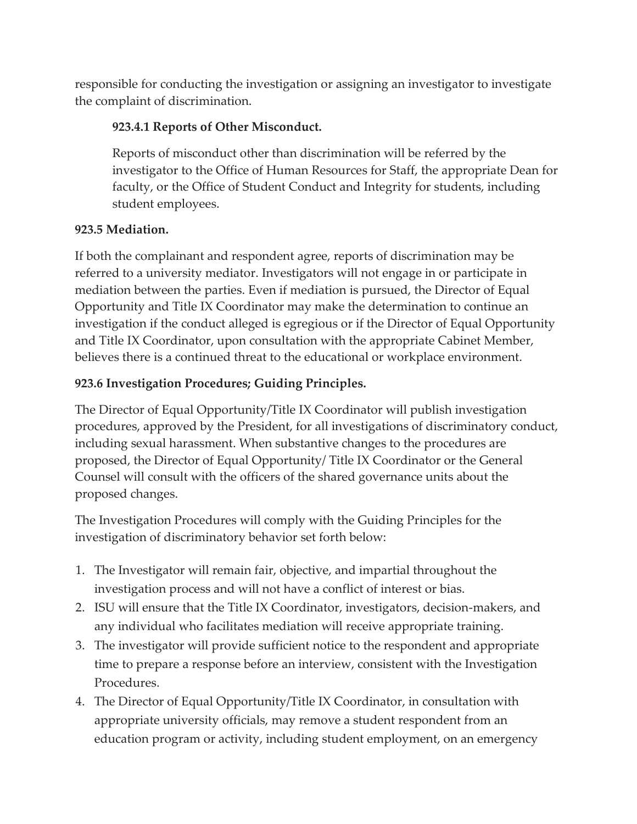responsible for conducting the investigation or assigning an investigator to investigate the complaint of discrimination.

# **923.4.1 Reports of Other Misconduct.**

Reports of misconduct other than discrimination will be referred by the investigator to the Office of Human Resources for Staff, the appropriate Dean for faculty, or the Office of Student Conduct and Integrity for students, including student employees.

# **923.5 Mediation.**

If both the complainant and respondent agree, reports of discrimination may be referred to a university mediator. Investigators will not engage in or participate in mediation between the parties. Even if mediation is pursued, the Director of Equal Opportunity and Title IX Coordinator may make the determination to continue an investigation if the conduct alleged is egregious or if the Director of Equal Opportunity and Title IX Coordinator, upon consultation with the appropriate Cabinet Member, believes there is a continued threat to the educational or workplace environment.

# **923.6 Investigation Procedures; Guiding Principles.**

The Director of Equal Opportunity/Title IX Coordinator will publish investigation procedures, approved by the President, for all investigations of discriminatory conduct, including sexual harassment. When substantive changes to the procedures are proposed, the Director of Equal Opportunity/ Title IX Coordinator or the General Counsel will consult with the officers of the shared governance units about the proposed changes.

The Investigation Procedures will comply with the Guiding Principles for the investigation of discriminatory behavior set forth below:

- 1. The Investigator will remain fair, objective, and impartial throughout the investigation process and will not have a conflict of interest or bias.
- 2. ISU will ensure that the Title IX Coordinator, investigators, decision-makers, and any individual who facilitates mediation will receive appropriate training.
- 3. The investigator will provide sufficient notice to the respondent and appropriate time to prepare a response before an interview, consistent with the Investigation Procedures.
- 4. The Director of Equal Opportunity/Title IX Coordinator, in consultation with appropriate university officials, may remove a student respondent from an education program or activity, including student employment, on an emergency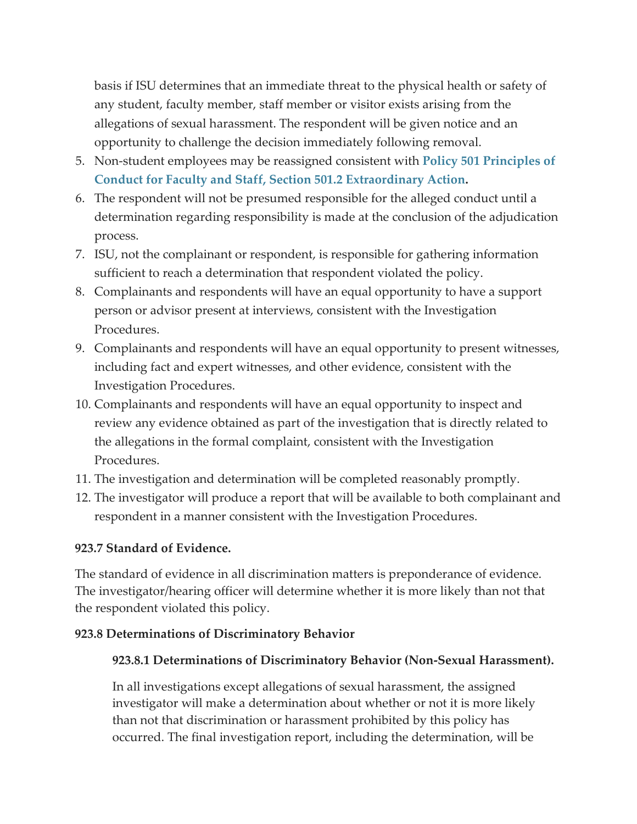basis if ISU determines that an immediate threat to the physical health or safety of any student, faculty member, staff member or visitor exists arising from the allegations of sexual harassment. The respondent will be given notice and an opportunity to challenge the decision immediately following removal.

- 5. Non-student employees may be reassigned consistent with **[Policy 501 Principles of](https://web.archive.org/web/20210418035216/https:/www.indstate.edu/policy-library/faculty-and-staff-principles-conduct)  [Conduct for Faculty and Staff, Section 501.2 Extraordinary Action.](https://web.archive.org/web/20210418035216/https:/www.indstate.edu/policy-library/faculty-and-staff-principles-conduct)**
- 6. The respondent will not be presumed responsible for the alleged conduct until a determination regarding responsibility is made at the conclusion of the adjudication process.
- 7. ISU, not the complainant or respondent, is responsible for gathering information sufficient to reach a determination that respondent violated the policy.
- 8. Complainants and respondents will have an equal opportunity to have a support person or advisor present at interviews, consistent with the Investigation Procedures.
- 9. Complainants and respondents will have an equal opportunity to present witnesses, including fact and expert witnesses, and other evidence, consistent with the Investigation Procedures.
- 10. Complainants and respondents will have an equal opportunity to inspect and review any evidence obtained as part of the investigation that is directly related to the allegations in the formal complaint, consistent with the Investigation Procedures.
- 11. The investigation and determination will be completed reasonably promptly.
- 12. The investigator will produce a report that will be available to both complainant and respondent in a manner consistent with the Investigation Procedures.

### **923.7 Standard of Evidence.**

The standard of evidence in all discrimination matters is preponderance of evidence. The investigator/hearing officer will determine whether it is more likely than not that the respondent violated this policy.

### **923.8 Determinations of Discriminatory Behavior**

### **923.8.1 Determinations of Discriminatory Behavior (Non-Sexual Harassment).**

In all investigations except allegations of sexual harassment, the assigned investigator will make a determination about whether or not it is more likely than not that discrimination or harassment prohibited by this policy has occurred. The final investigation report, including the determination, will be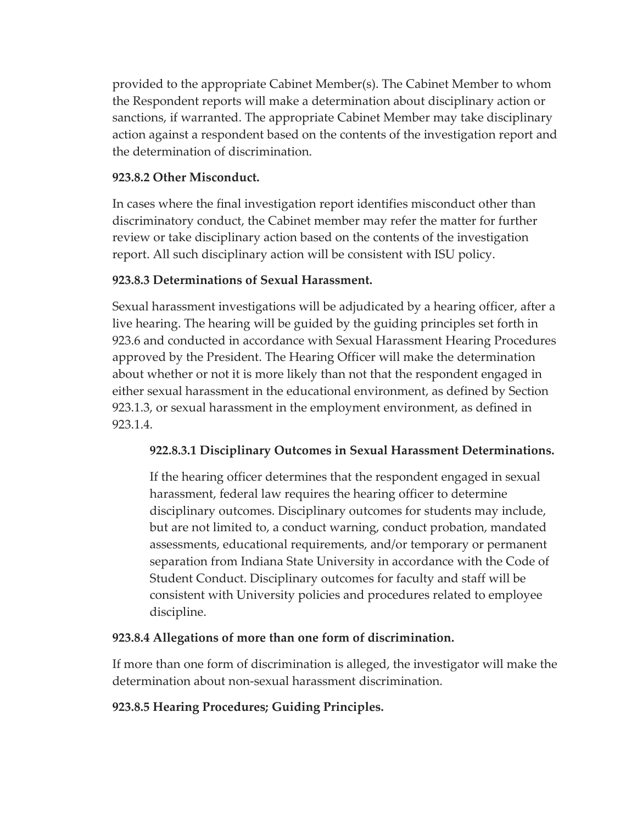provided to the appropriate Cabinet Member(s). The Cabinet Member to whom the Respondent reports will make a determination about disciplinary action or sanctions, if warranted. The appropriate Cabinet Member may take disciplinary action against a respondent based on the contents of the investigation report and the determination of discrimination.

## **923.8.2 Other Misconduct.**

In cases where the final investigation report identifies misconduct other than discriminatory conduct, the Cabinet member may refer the matter for further review or take disciplinary action based on the contents of the investigation report. All such disciplinary action will be consistent with ISU policy.

# **923.8.3 Determinations of Sexual Harassment.**

Sexual harassment investigations will be adjudicated by a hearing officer, after a live hearing. The hearing will be guided by the guiding principles set forth in 923.6 and conducted in accordance with Sexual Harassment Hearing Procedures approved by the President. The Hearing Officer will make the determination about whether or not it is more likely than not that the respondent engaged in either sexual harassment in the educational environment, as defined by Section 923.1.3, or sexual harassment in the employment environment, as defined in 923.1.4.

# **922.8.3.1 Disciplinary Outcomes in Sexual Harassment Determinations.**

If the hearing officer determines that the respondent engaged in sexual harassment, federal law requires the hearing officer to determine disciplinary outcomes. Disciplinary outcomes for students may include, but are not limited to, a conduct warning, conduct probation, mandated assessments, educational requirements, and/or temporary or permanent separation from Indiana State University in accordance with the Code of Student Conduct. Disciplinary outcomes for faculty and staff will be consistent with University policies and procedures related to employee discipline.

# **923.8.4 Allegations of more than one form of discrimination.**

If more than one form of discrimination is alleged, the investigator will make the determination about non-sexual harassment discrimination.

# **923.8.5 Hearing Procedures; Guiding Principles.**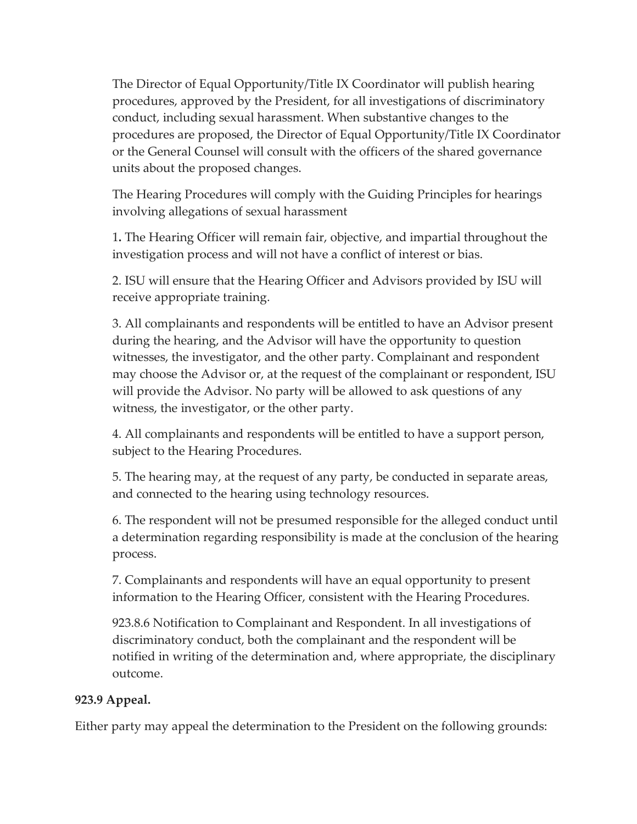The Director of Equal Opportunity/Title IX Coordinator will publish hearing procedures, approved by the President, for all investigations of discriminatory conduct, including sexual harassment. When substantive changes to the procedures are proposed, the Director of Equal Opportunity/Title IX Coordinator or the General Counsel will consult with the officers of the shared governance units about the proposed changes.

The Hearing Procedures will comply with the Guiding Principles for hearings involving allegations of sexual harassment

1**.** The Hearing Officer will remain fair, objective, and impartial throughout the investigation process and will not have a conflict of interest or bias.

2. ISU will ensure that the Hearing Officer and Advisors provided by ISU will receive appropriate training.

3. All complainants and respondents will be entitled to have an Advisor present during the hearing, and the Advisor will have the opportunity to question witnesses, the investigator, and the other party. Complainant and respondent may choose the Advisor or, at the request of the complainant or respondent, ISU will provide the Advisor. No party will be allowed to ask questions of any witness, the investigator, or the other party.

4. All complainants and respondents will be entitled to have a support person, subject to the Hearing Procedures.

5. The hearing may, at the request of any party, be conducted in separate areas, and connected to the hearing using technology resources.

6. The respondent will not be presumed responsible for the alleged conduct until a determination regarding responsibility is made at the conclusion of the hearing process.

7. Complainants and respondents will have an equal opportunity to present information to the Hearing Officer, consistent with the Hearing Procedures.

923.8.6 Notification to Complainant and Respondent. In all investigations of discriminatory conduct, both the complainant and the respondent will be notified in writing of the determination and, where appropriate, the disciplinary outcome.

## **923.9 Appeal.**

Either party may appeal the determination to the President on the following grounds: